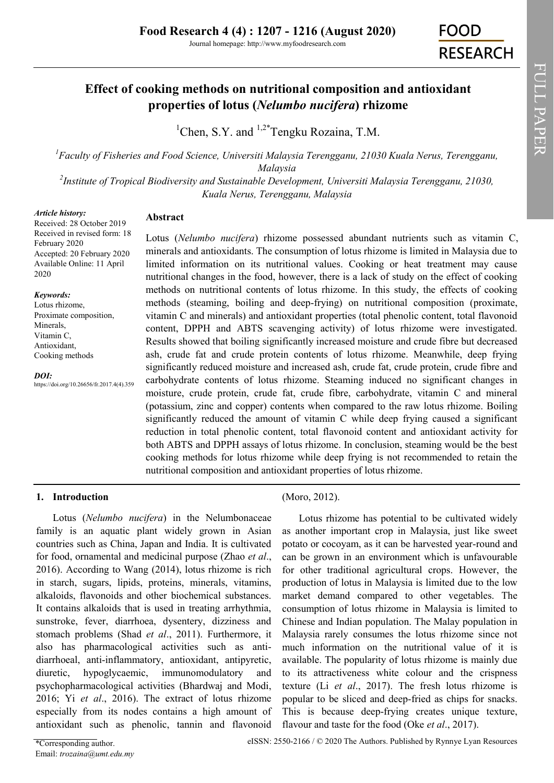# **Effect of cooking methods on nutritional composition and antioxidant properties of lotus (***Nelumbo nucifera***) rhizome**

<sup>1</sup>[Chen, S.Y. a](https://orcid.org/0000-0002-0258-6557)nd <sup>1,2\*</sup>[Tengku Rozaina, T.M.](https://orcid.org/0000-0002-2824-8118)

*<sup>1</sup>Faculty of Fisheries and Food Science, Universiti Malaysia Terengganu, 21030 Kuala Nerus, Terengganu, Malaysia*

*2 Institute of Tropical Biodiversity and Sustainable Development, Universiti Malaysia Terengganu, 21030, Kuala Nerus, Terengganu, Malaysia*

#### *Article history:*

Received: 28 October 2019 Received in revised form: 18 February 2020 Accepted: 20 February 2020 Available Online: 11 April 2020

### *Keywords:*

Lotus rhizome, Proximate composition, Minerals, Vitamin C, Antioxidant, Cooking methods

*DOI:*

https://doi.org/10.26656/fr.2017.4(4).359

# **Abstract**

Lotus (*Nelumbo nucifera*) rhizome possessed abundant nutrients such as vitamin C, minerals and antioxidants. The consumption of lotus rhizome is limited in Malaysia due to limited information on its nutritional values. Cooking or heat treatment may cause nutritional changes in the food, however, there is a lack of study on the effect of cooking methods on nutritional contents of lotus rhizome. In this study, the effects of cooking methods (steaming, boiling and deep-frying) on nutritional composition (proximate, vitamin C and minerals) and antioxidant properties (total phenolic content, total flavonoid content, DPPH and ABTS scavenging activity) of lotus rhizome were investigated. Results showed that boiling significantly increased moisture and crude fibre but decreased ash, crude fat and crude protein contents of lotus rhizome. Meanwhile, deep frying significantly reduced moisture and increased ash, crude fat, crude protein, crude fibre and carbohydrate contents of lotus rhizome. Steaming induced no significant changes in moisture, crude protein, crude fat, crude fibre, carbohydrate, vitamin C and mineral (potassium, zinc and copper) contents when compared to the raw lotus rhizome. Boiling significantly reduced the amount of vitamin C while deep frying caused a significant reduction in total phenolic content, total flavonoid content and antioxidant activity for both ABTS and DPPH assays of lotus rhizome. In conclusion, steaming would be the best cooking methods for lotus rhizome while deep frying is not recommended to retain the nutritional composition and antioxidant properties of lotus rhizome.

# **1. Introduction**

Lotus (*Nelumbo nucifera*) in the Nelumbonaceae family is an aquatic plant widely grown in Asian countries such as China, Japan and India. It is cultivated for food, ornamental and medicinal purpose (Zhao *et al*., 2016). According to Wang (2014), lotus rhizome is rich in starch, sugars, lipids, proteins, minerals, vitamins, alkaloids, flavonoids and other biochemical substances. It contains alkaloids that is used in treating arrhythmia, sunstroke, fever, diarrhoea, dysentery, dizziness and stomach problems (Shad *et al*., 2011). Furthermore, it also has pharmacological activities such as antidiarrhoeal, anti-inflammatory, antioxidant, antipyretic, diuretic, hypoglycaemic, immunomodulatory and psychopharmacological activities (Bhardwaj and Modi, 2016; Yi *et al*., 2016). The extract of lotus rhizome especially from its nodes contains a high amount of antioxidant such as phenolic, tannin and flavonoid

# (Moro, 2012).

Lotus rhizome has potential to be cultivated widely as another important crop in Malaysia, just like sweet potato or cocoyam, as it can be harvested year-round and can be grown in an environment which is unfavourable for other traditional agricultural crops. However, the production of lotus in Malaysia is limited due to the low market demand compared to other vegetables. The consumption of lotus rhizome in Malaysia is limited to Chinese and Indian population. The Malay population in Malaysia rarely consumes the lotus rhizome since not much information on the nutritional value of it is available. The popularity of lotus rhizome is mainly due to its attractiveness white colour and the crispness texture (Li *et al*., 2017). The fresh lotus rhizome is popular to be sliced and deep-fried as chips for snacks. This is because deep-frying creates unique texture, flavour and taste for the food (Oke *et al*., 2017).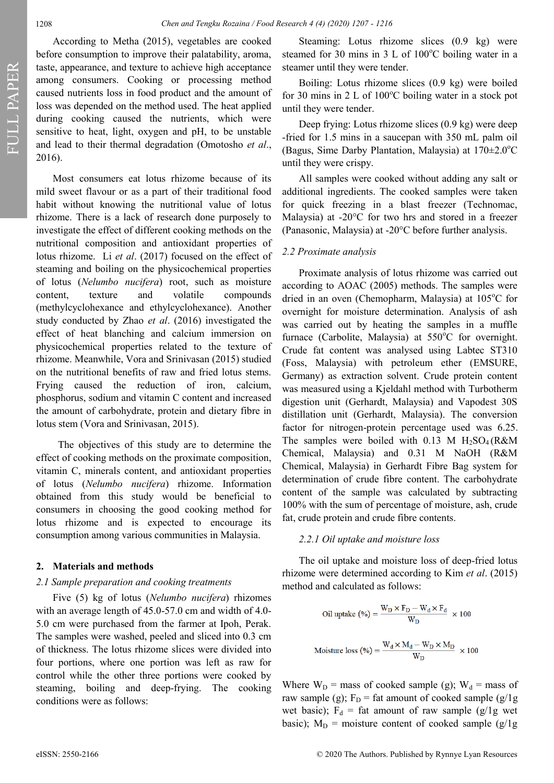FULL PAPER

According to Metha (2015), vegetables are cooked before consumption to improve their palatability, aroma, taste, appearance, and texture to achieve high acceptance among consumers. Cooking or processing method caused nutrients loss in food product and the amount of loss was depended on the method used. The heat applied during cooking caused the nutrients, which were sensitive to heat, light, oxygen and pH, to be unstable and lead to their thermal degradation (Omotosho *et al*., 2016).

Most consumers eat lotus rhizome because of its mild sweet flavour or as a part of their traditional food habit without knowing the nutritional value of lotus rhizome. There is a lack of research done purposely to investigate the effect of different cooking methods on the nutritional composition and antioxidant properties of lotus rhizome. Li *et al*. (2017) focused on the effect of steaming and boiling on the physicochemical properties of lotus (*Nelumbo nucifera*) root, such as moisture content, texture and volatile compounds (methylcyclohexance and ethylcyclohexance). Another study conducted by Zhao *et al*. (2016) investigated the effect of heat blanching and calcium immersion on physicochemical properties related to the texture of rhizome. Meanwhile, Vora and Srinivasan (2015) studied on the nutritional benefits of raw and fried lotus stems. Frying caused the reduction of iron, calcium, phosphorus, sodium and vitamin C content and increased the amount of carbohydrate, protein and dietary fibre in lotus stem (Vora and Srinivasan, 2015).

 The objectives of this study are to determine the effect of cooking methods on the proximate composition, vitamin C, minerals content, and antioxidant properties of lotus (*Nelumbo nucifera*) rhizome. Information obtained from this study would be beneficial to consumers in choosing the good cooking method for lotus rhizome and is expected to encourage its consumption among various communities in Malaysia.

### **2. Materials and methods**

#### *2.1 Sample preparation and cooking treatments*

Five (5) kg of lotus (*Nelumbo nucifera*) rhizomes with an average length of 45.0-57.0 cm and width of 4.0- 5.0 cm were purchased from the farmer at Ipoh, Perak. The samples were washed, peeled and sliced into 0.3 cm of thickness. The lotus rhizome slices were divided into four portions, where one portion was left as raw for control while the other three portions were cooked by steaming, boiling and deep-frying. The cooking conditions were as follows:

Steaming: Lotus rhizome slices (0.9 kg) were steamed for 30 mins in 3 L of  $100^{\circ}$ C boiling water in a steamer until they were tender.

Boiling: Lotus rhizome slices (0.9 kg) were boiled for 30 mins in 2 L of  $100^{\circ}$ C boiling water in a stock pot until they were tender.

Deep frying: Lotus rhizome slices (0.9 kg) were deep -fried for 1.5 mins in a saucepan with 350 mL palm oil (Bagus, Sime Darby Plantation, Malaysia) at  $170\pm2.0^{\circ}$ C until they were crispy.

All samples were cooked without adding any salt or additional ingredients. The cooked samples were taken for quick freezing in a blast freezer (Technomac, Malaysia) at -20°C for two hrs and stored in a freezer (Panasonic, Malaysia) at -20°C before further analysis.

#### *2.2 Proximate analysis*

Proximate analysis of lotus rhizome was carried out according to AOAC (2005) methods. The samples were dried in an oven (Chemopharm, Malaysia) at  $105^{\circ}$ C for overnight for moisture determination. Analysis of ash was carried out by heating the samples in a muffle furnace (Carbolite, Malaysia) at  $550^{\circ}$ C for overnight. Crude fat content was analysed using Labtec ST310 (Foss, Malaysia) with petroleum ether (EMSURE, Germany) as extraction solvent. Crude protein content was measured using a Kjeldahl method with Turbotherm digestion unit (Gerhardt, Malaysia) and Vapodest 30S distillation unit (Gerhardt, Malaysia). The conversion factor for nitrogen-protein percentage used was 6.25. The samples were boiled with 0.13 M  $H_2SO_4(R\&M)$ Chemical, Malaysia) and 0.31 M NaOH (R&M Chemical, Malaysia) in Gerhardt Fibre Bag system for determination of crude fibre content. The carbohydrate content of the sample was calculated by subtracting 100% with the sum of percentage of moisture, ash, crude fat, crude protein and crude fibre contents.

#### *2.2.1 Oil uptake and moisture loss*

The oil uptake and moisture loss of deep-fried lotus rhizome were determined according to Kim *et al*. (2015) method and calculated as follows:

$$
\text{Oil uptake } (\%) = \frac{W_D \times F_D - W_d \times F_d}{W_D} \times 100
$$
\n
$$
\text{Moisture loss } (\%) = \frac{W_d \times M_d - W_D \times M_D}{W_D} \times 100
$$

Where  $W_D$  = mass of cooked sample (g);  $W_d$  = mass of raw sample (g);  $F_D$  = fat amount of cooked sample (g/1g) wet basic);  $F_d = \text{fat amount of raw sample } (g/1g \text{ wet})$ basic);  $M_D$  = moisture content of cooked sample (g/1g)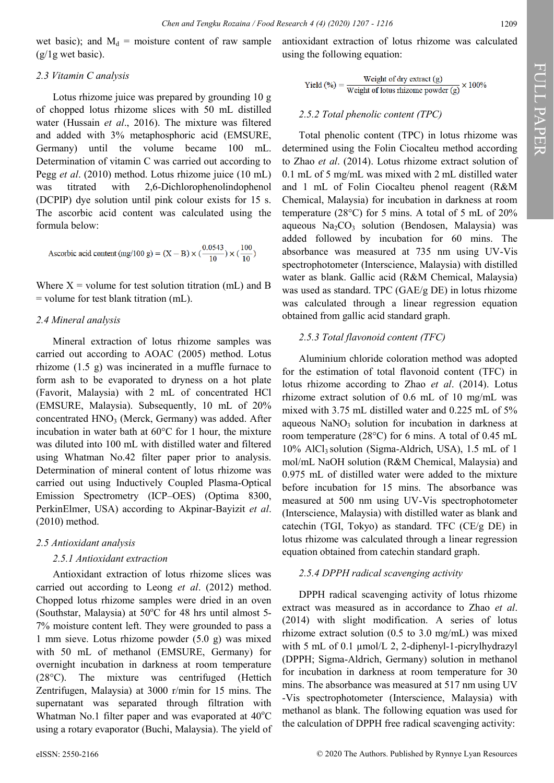$(g/lg$  wet basic).

# *2.3 Vitamin C analysis*

Lotus rhizome juice was prepared by grounding 10 g of chopped lotus rhizome slices with 50 mL distilled water (Hussain *et al*., 2016). The mixture was filtered and added with 3% metaphosphoric acid (EMSURE, Germany) until the volume became 100 mL. Determination of vitamin C was carried out according to Pegg *et al*. (2010) method. Lotus rhizome juice (10 mL) was titrated with 2,6-Dichlorophenolindophenol (DCPIP) dye solution until pink colour exists for 15 s. The ascorbic acid content was calculated using the formula below:

Ascorbic acid content (mg/100 g) = (X – B) × 
$$
(\frac{0.0543}{10}) × (\frac{100}{10})
$$

Where  $X =$  volume for test solution titration (mL) and B = volume for test blank titration (mL).

### *2.4 Mineral analysis*

Mineral extraction of lotus rhizome samples was carried out according to AOAC (2005) method. Lotus rhizome (1.5 g) was incinerated in a muffle furnace to form ash to be evaporated to dryness on a hot plate (Favorit, Malaysia) with 2 mL of concentrated HCl (EMSURE, Malaysia). Subsequently, 10 mL of 20% concentrated HNO<sub>3</sub> (Merck, Germany) was added. After incubation in water bath at 60°C for 1 hour, the mixture was diluted into 100 mL with distilled water and filtered using Whatman No.42 filter paper prior to analysis. Determination of mineral content of lotus rhizome was carried out using Inductively Coupled Plasma-Optical Emission Spectrometry (ICP–OES) (Optima 8300, PerkinElmer, USA) according to Akpinar-Bayizit *et al*. (2010) method.

# *2.5 Antioxidant analysis*

# *2.5.1 Antioxidant extraction*

Antioxidant extraction of lotus rhizome slices was carried out according to Leong *et al*. (2012) method. Chopped lotus rhizome samples were dried in an oven (Southstar, Malaysia) at  $50^{\circ}$ C for 48 hrs until almost 5-7% moisture content left. They were grounded to pass a 1 mm sieve. Lotus rhizome powder (5.0 g) was mixed with 50 mL of methanol (EMSURE, Germany) for overnight incubation in darkness at room temperature (28°C). The mixture was centrifuged (Hettich Zentrifugen, Malaysia) at 3000 r/min for 15 mins. The supernatant was separated through filtration with Whatman No.1 filter paper and was evaporated at  $40^{\circ}$ C using a rotary evaporator (Buchi, Malaysia). The yield of

wet basic); and  $M_d$  = moisture content of raw sample antioxidant extraction of lotus rhizome was calculated using the following equation:

$$
Yield (\%) = \frac{Weight of dry extract (g)}{Weight of lotus rhizome powder (g)} \times 100\%
$$

### *2.5.2 Total phenolic content (TPC)*

Total phenolic content (TPC) in lotus rhizome was determined using the Folin Ciocalteu method according to Zhao *et al*. (2014). Lotus rhizome extract solution of 0.1 mL of 5 mg/mL was mixed with 2 mL distilled water and 1 mL of Folin Ciocalteu phenol reagent (R&M Chemical, Malaysia) for incubation in darkness at room temperature (28°C) for 5 mins. A total of 5 mL of 20% aqueous  $Na<sub>2</sub>CO<sub>3</sub>$  solution (Bendosen, Malaysia) was added followed by incubation for 60 mins. The absorbance was measured at 735 nm using UV-Vis spectrophotometer (Interscience, Malaysia) with distilled water as blank. Gallic acid (R&M Chemical, Malaysia) was used as standard. TPC (GAE/g DE) in lotus rhizome was calculated through a linear regression equation obtained from gallic acid standard graph.

# *2.5.3 Total flavonoid content (TFC)*

Aluminium chloride coloration method was adopted for the estimation of total flavonoid content (TFC) in lotus rhizome according to Zhao *et al*. (2014). Lotus rhizome extract solution of 0.6 mL of 10 mg/mL was mixed with 3.75 mL distilled water and 0.225 mL of 5% aqueous  $NaNO<sub>3</sub>$  solution for incubation in darkness at room temperature (28°C) for 6 mins. A total of 0.45 mL  $10\%$  AlCl<sub>3</sub> solution (Sigma-Aldrich, USA), 1.5 mL of 1 mol/mL NaOH solution (R&M Chemical, Malaysia) and 0.975 mL of distilled water were added to the mixture before incubation for 15 mins. The absorbance was measured at 500 nm using UV-Vis spectrophotometer (Interscience, Malaysia) with distilled water as blank and catechin (TGI, Tokyo) as standard. TFC (CE/g DE) in lotus rhizome was calculated through a linear regression equation obtained from catechin standard graph.

# *2.5.4 DPPH radical scavenging activity*

DPPH radical scavenging activity of lotus rhizome extract was measured as in accordance to Zhao *et al*. (2014) with slight modification. A series of lotus rhizome extract solution (0.5 to 3.0 mg/mL) was mixed with 5 mL of 0.1  $\mu$ mol/L 2, 2-diphenyl-1-picrylhydrazyl (DPPH; Sigma-Aldrich, Germany) solution in methanol for incubation in darkness at room temperature for 30 mins. The absorbance was measured at 517 nm using UV -Vis spectrophotometer (Interscience, Malaysia) with methanol as blank. The following equation was used for the calculation of DPPH free radical scavenging activity: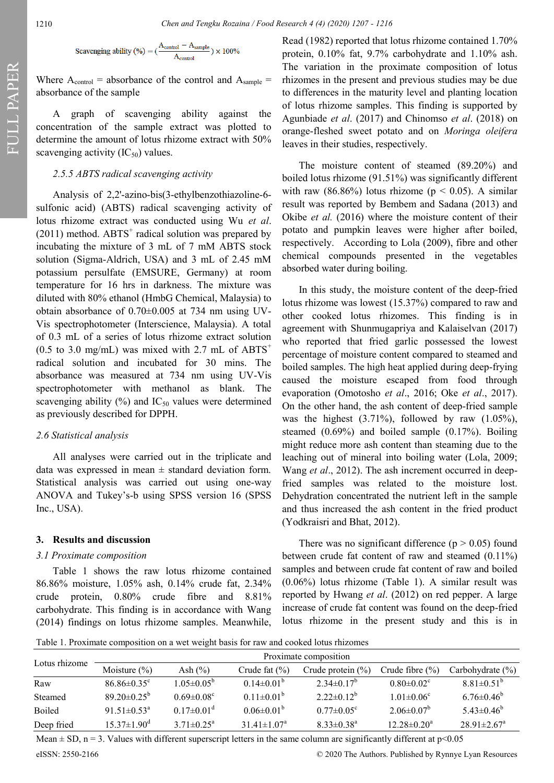FULL PAPER

Scavenging ability (%) = 
$$
(\frac{A_{\text{control}} - A_{\text{sample}}}{A_{\text{control}}}) \times 100\%
$$

Where  $A_{control}$  = absorbance of the control and  $A_{sample}$  = absorbance of the sample

A graph of scavenging ability against the concentration of the sample extract was plotted to determine the amount of lotus rhizome extract with 50% scavenging activity  $(IC_{50})$  values.

### *2.5.5 ABTS radical scavenging activity*

Analysis of 2,2'-azino-bis(3-ethylbenzothiazoline-6 sulfonic acid) (ABTS) radical scavenging activity of lotus rhizome extract was conducted using Wu *et al*.  $(2011)$  method. ABTS<sup>+</sup> radical solution was prepared by incubating the mixture of 3 mL of 7 mM ABTS stock solution (Sigma-Aldrich, USA) and 3 mL of 2.45 mM potassium persulfate (EMSURE, Germany) at room temperature for 16 hrs in darkness. The mixture was diluted with 80% ethanol (HmbG Chemical, Malaysia) to obtain absorbance of 0.70±0.005 at 734 nm using UV-Vis spectrophotometer (Interscience, Malaysia). A total of 0.3 mL of a series of lotus rhizome extract solution (0.5 to 3.0 mg/mL) was mixed with 2.7 mL of  $ABTS^+$ radical solution and incubated for 30 mins. The absorbance was measured at 734 nm using UV-Vis spectrophotometer with methanol as blank. The scavenging ability  $(\%)$  and IC<sub>50</sub> values were determined as previously described for DPPH.

#### *2.6 Statistical analysis*

All analyses were carried out in the triplicate and data was expressed in mean  $\pm$  standard deviation form. Statistical analysis was carried out using one-way ANOVA and Tukey's-b using SPSS version 16 (SPSS Inc., USA).

#### **3. Results and discussion**

#### *3.1 Proximate composition*

Table 1 shows the raw lotus rhizome contained 86.86% moisture, 1.05% ash, 0.14% crude fat, 2.34% crude protein, 0.80% crude fibre and 8.81% carbohydrate. This finding is in accordance with Wang (2014) findings on lotus rhizome samples. Meanwhile,

Read (1982) reported that lotus rhizome contained 1.70% protein, 0.10% fat, 9.7% carbohydrate and 1.10% ash. The variation in the proximate composition of lotus rhizomes in the present and previous studies may be due to differences in the maturity level and planting location of lotus rhizome samples. This finding is supported by Agunbiade *et al*. (2017) and Chinomso *et al*. (2018) on orange-fleshed sweet potato and on *Moringa oleifera* leaves in their studies, respectively.

The moisture content of steamed (89.20%) and boiled lotus rhizome (91.51%) was significantly different with raw  $(86.86\%)$  lotus rhizome ( $p < 0.05$ ). A similar result was reported by Bembem and Sadana (2013) and Okibe *et al.* (2016) where the moisture content of their potato and pumpkin leaves were higher after boiled, respectively. According to Lola (2009), fibre and other chemical compounds presented in the vegetables absorbed water during boiling.

In this study, the moisture content of the deep-fried lotus rhizome was lowest (15.37%) compared to raw and other cooked lotus rhizomes. This finding is in agreement with Shunmugapriya and Kalaiselvan (2017) who reported that fried garlic possessed the lowest percentage of moisture content compared to steamed and boiled samples. The high heat applied during deep-frying caused the moisture escaped from food through evaporation (Omotosho *et al*., 2016; Oke *et al*., 2017). On the other hand, the ash content of deep-fried sample was the highest  $(3.71\%)$ , followed by raw  $(1.05\%)$ , steamed (0.69%) and boiled sample (0.17%). Boiling might reduce more ash content than steaming due to the leaching out of mineral into boiling water (Lola, 2009; Wang *et al*., 2012). The ash increment occurred in deepfried samples was related to the moisture lost. Dehydration concentrated the nutrient left in the sample and thus increased the ash content in the fried product (Yodkraisri and Bhat, 2012).

There was no significant difference ( $p > 0.05$ ) found between crude fat content of raw and steamed (0.11%) samples and between crude fat content of raw and boiled (0.06%) lotus rhizome (Table 1). A similar result was reported by Hwang *et al*. (2012) on red pepper. A large increase of crude fat content was found on the deep-fried lotus rhizome in the present study and this is in

Table 1. Proximate composition on a wet weight basis for raw and cooked lotus rhizomes

| Lotus rhizome | Proximate composition         |                              |                         |                              |                              |                               |  |  |
|---------------|-------------------------------|------------------------------|-------------------------|------------------------------|------------------------------|-------------------------------|--|--|
|               | Moisture $(\% )$              | Ash $(\% )$                  | Crude fat $(\% )$       | Crude protein $(\% )$        | Crude fibre $(\% )$          | Carbohydrate $(\% )$          |  |  |
| Raw           | $86.86 \pm 0.35$ <sup>c</sup> | $1.05 \pm 0.05^{\circ}$      | $0.14 \pm 0.01^{\circ}$ | $2.34\pm0.17^{\circ}$        | $0.80 \pm 0.02$ <sup>c</sup> | $8.81 \pm 0.51^{\circ}$       |  |  |
| Steamed       | $89.20 \pm 0.25^{\rm b}$      | $0.69 \pm 0.08$ <sup>c</sup> | $0.11 \pm 0.01^b$       | $2.22 \pm 0.12^b$            | $1.01 \pm 0.06^{\circ}$      | $6.76 \pm 0.46^{\circ}$       |  |  |
| <b>Boiled</b> | $91.51 \pm 0.53$ <sup>a</sup> | $0.17 \pm 0.01$ <sup>d</sup> | $0.06 \pm 0.01^b$       | $0.77 \pm 0.05$ <sup>c</sup> | $2.06 \pm 0.07^{\circ}$      | $5.43 \pm 0.46^b$             |  |  |
| Deep fried    | $15.37 \pm 1.90$ <sup>d</sup> | $3.71 \pm 0.25^{\text{a}}$   | $31.41 \pm 1.07^a$      | $8.33 \pm 0.38$ <sup>a</sup> | $12.28 \pm 0.20^a$           | $28.91 \pm 2.67$ <sup>a</sup> |  |  |

Mean  $\pm$  SD, n = 3. Values with different superscript letters in the same column are significantly different at p<0.05

eISSN: 2550-2166 © 2020 The Authors. Published by Rynnye Lyan Resources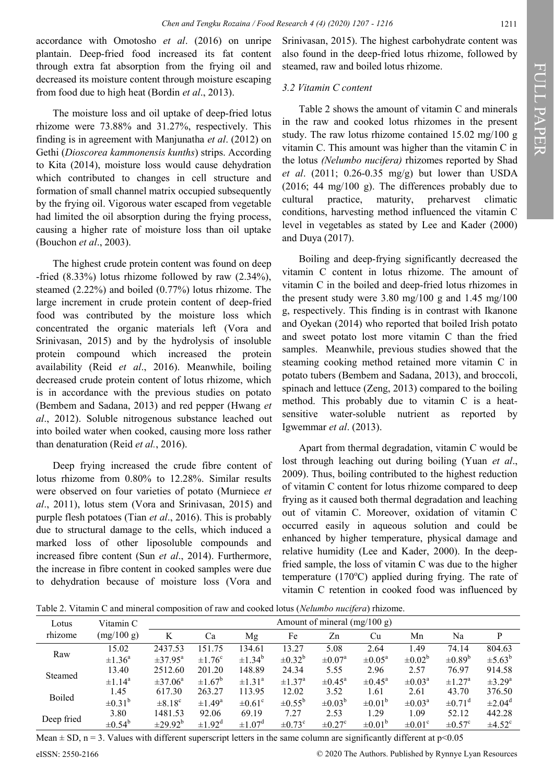accordance with Omotosho *et al*. (2016) on unripe plantain. Deep-fried food increased its fat content through extra fat absorption from the frying oil and decreased its moisture content through moisture escaping from food due to high heat (Bordin *et al*., 2013).

The moisture loss and oil uptake of deep-fried lotus rhizome were 73.88% and 31.27%, respectively. This finding is in agreement with Manjunatha *et al*. (2012) on Gethi (*Dioscorea kammonensis kunths*) strips. According to Kita (2014), moisture loss would cause dehydration which contributed to changes in cell structure and formation of small channel matrix occupied subsequently by the frying oil. Vigorous water escaped from vegetable had limited the oil absorption during the frying process, causing a higher rate of moisture loss than oil uptake (Bouchon *et al*., 2003).

The highest crude protein content was found on deep -fried (8.33%) lotus rhizome followed by raw (2.34%), steamed (2.22%) and boiled (0.77%) lotus rhizome. The large increment in crude protein content of deep-fried food was contributed by the moisture loss which concentrated the organic materials left (Vora and Srinivasan, 2015) and by the hydrolysis of insoluble protein compound which increased the protein availability (Reid *et al*., 2016). Meanwhile, boiling decreased crude protein content of lotus rhizome, which is in accordance with the previous studies on potato (Bembem and Sadana, 2013) and red pepper (Hwang *et al*., 2012). Soluble nitrogenous substance leached out into boiled water when cooked, causing more loss rather than denaturation (Reid *et al.*, 2016).

Deep frying increased the crude fibre content of lotus rhizome from 0.80% to 12.28%. Similar results were observed on four varieties of potato (Murniece *et al*., 2011), lotus stem (Vora and Srinivasan, 2015) and purple flesh potatoes (Tian *et al*., 2016). This is probably due to structural damage to the cells, which induced a marked loss of other liposoluble compounds and increased fibre content (Sun *et al*., 2014). Furthermore, the increase in fibre content in cooked samples were due to dehydration because of moisture loss (Vora and

Srinivasan, 2015). The highest carbohydrate content was also found in the deep-fried lotus rhizome, followed by steamed, raw and boiled lotus rhizome.

# *3.2 Vitamin C content*

Table 2 shows the amount of vitamin C and minerals in the raw and cooked lotus rhizomes in the present study. The raw lotus rhizome contained 15.02 mg/100 g vitamin C. This amount was higher than the vitamin C in the lotus *(Nelumbo nucifera)* rhizomes reported by Shad *et al*. (2011; 0.26-0.35 mg/g) but lower than USDA (2016; 44 mg/100 g). The differences probably due to cultural practice, maturity, preharvest climatic conditions, harvesting method influenced the vitamin C level in vegetables as stated by Lee and Kader (2000) and Duya (2017).

Boiling and deep-frying significantly decreased the vitamin C content in lotus rhizome. The amount of vitamin C in the boiled and deep-fried lotus rhizomes in the present study were 3.80 mg/100 g and 1.45 mg/100 g, respectively. This finding is in contrast with Ikanone and Oyekan (2014) who reported that boiled Irish potato and sweet potato lost more vitamin C than the fried samples. Meanwhile, previous studies showed that the steaming cooking method retained more vitamin C in potato tubers (Bembem and Sadana, 2013), and broccoli, spinach and lettuce (Zeng, 2013) compared to the boiling method. This probably due to vitamin C is a heatsensitive water-soluble nutrient as reported by Igwemmar *et al*. (2013).

Apart from thermal degradation, vitamin C would be lost through leaching out during boiling (Yuan *et al*., 2009). Thus, boiling contributed to the highest reduction of vitamin C content for lotus rhizome compared to deep frying as it caused both thermal degradation and leaching out of vitamin C. Moreover, oxidation of vitamin C occurred easily in aqueous solution and could be enhanced by higher temperature, physical damage and relative humidity (Lee and Kader, 2000). In the deepfried sample, the loss of vitamin C was due to the higher temperature (170 $^{\circ}$ C) applied during frying. The rate of vitamin C retention in cooked food was influenced by

Table 2. Vitamin C and mineral composition of raw and cooked lotus (*Nelumbo nucifera*) rhizome.

| Lotus      | Vitamin C               | Amount of mineral $(mg/100 g)$ |                         |                         |                         |                         |                       |                       |                         |                         |
|------------|-------------------------|--------------------------------|-------------------------|-------------------------|-------------------------|-------------------------|-----------------------|-----------------------|-------------------------|-------------------------|
| rhizome    | (mg/100 g)              | K                              | Ca                      | Mg                      | Fe                      | Zn                      | Cu                    | Mn                    | Na                      | P                       |
| Raw        | 15.02                   | 2437.53                        | 151.75                  | 134.61                  | 13.27                   | 5.08                    | 2.64                  | 1.49                  | 74.14                   | 804.63                  |
|            | $\pm 1.36^{\circ}$      | $\pm$ 37.95 <sup>a</sup>       | $\pm 1.76^{\circ}$      | $\pm$ 1.34 <sup>b</sup> | $\pm 0.32^{\rm b}$      | $\pm 0.07^{\rm a}$      | $\pm 0.05^{\text{a}}$ | $\pm 0.02^{\rm b}$    | $\pm 0.89^{\rm b}$      | $\pm 5.63^{\rm b}$      |
| Steamed    | 13.40                   | 2512.60                        | 201.20                  | 148.89                  | 24.34                   | 5.55                    | 2.96                  | 2.57                  | 76.97                   | 914.58                  |
|            | $\pm 1.14^{\mathrm{a}}$ | $\pm 37.06^{\rm a}$            | $\pm 1.67^{\rm b}$      | $\pm 1.31^{\circ}$      | $\pm 1.37$ <sup>a</sup> | $\pm 0.45^{\text{a}}$   | $\pm 0.45^{\rm a}$    | $\pm 0.03^{\text{a}}$ | $\pm$ 1.27 <sup>a</sup> | $\pm 3.29^{\mathrm{a}}$ |
| Boiled     | 1.45                    | 617.30                         | 263.27                  | 113.95                  | 12.02                   | 3.52                    | 1.61                  | 2.61                  | 43.70                   | 376.50                  |
|            | $\pm 0.31^{\rm b}$      | $\pm 8.18$ <sup>c</sup>        | $\pm 1.49^{\rm a}$      | $\pm 0.61^{\circ}$      | $\pm 0.55^{\rm b}$      | $\pm 0.03^{\rm b}$      | $\pm 0.01^{\rm b}$    | $\pm 0.03^{\text{a}}$ | $\pm 0.71$ <sup>d</sup> | $\pm 2.04$ <sup>d</sup> |
| Deep fried | 3.80                    | 1481.53                        | 92.06                   | 69.19                   | 7.27                    | 2.53                    | 1.29                  | 1.09                  | 52.12                   | 442.28                  |
|            | $\pm 0.54^{\circ}$      | $\pm 29.92^{\rm b}$            | $\pm$ 1.92 <sup>d</sup> | $\pm 1.07$ <sup>d</sup> | $\pm 0.73$ <sup>c</sup> | $\pm 0.27$ <sup>c</sup> | $\pm 0.01^{\rm b}$    | $\pm 0.01^{\circ}$    | $\pm 0.57$ <sup>c</sup> | $\pm 4.52^{\circ}$      |

Mean  $\pm$  SD, n = 3. Values with different superscript letters in the same column are significantly different at p<0.05

FULL PAPER

FULL PAPER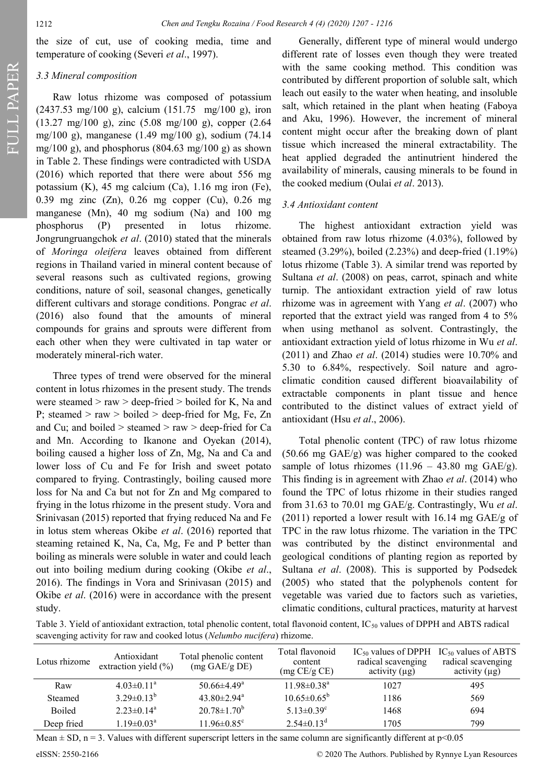FULL PAPER

the size of cut, use of cooking media, time and temperature of cooking (Severi *et al*., 1997).

### *3.3 Mineral composition*

Raw lotus rhizome was composed of potassium (2437.53 mg/100 g), calcium (151.75 mg/100 g), iron (13.27 mg/100 g), zinc (5.08 mg/100 g), copper (2.64 mg/100 g), manganese (1.49 mg/100 g), sodium (74.14 mg/100 g), and phosphorus (804.63 mg/100 g) as shown in Table 2. These findings were contradicted with USDA (2016) which reported that there were about 556 mg potassium (K), 45 mg calcium (Ca), 1.16 mg iron (Fe), 0.39 mg zinc (Zn), 0.26 mg copper (Cu), 0.26 mg manganese (Mn), 40 mg sodium (Na) and 100 mg phosphorus (P) presented in lotus rhizome. Jongrungruangchok *et al*. (2010) stated that the minerals of *Moringa oleifera* leaves obtained from different regions in Thailand varied in mineral content because of several reasons such as cultivated regions, growing conditions, nature of soil, seasonal changes, genetically different cultivars and storage conditions. Pongrac *et al*. (2016) also found that the amounts of mineral compounds for grains and sprouts were different from each other when they were cultivated in tap water or moderately mineral-rich water.

Three types of trend were observed for the mineral content in lotus rhizomes in the present study. The trends were steamed  $>$  raw  $>$  deep-fried  $>$  boiled for K, Na and P; steamed  $>$  raw  $>$  boiled  $>$  deep-fried for Mg, Fe, Zn and Cu; and boiled  $>$  steamed  $>$  raw  $>$  deep-fried for Ca and Mn. According to Ikanone and Oyekan (2014), boiling caused a higher loss of Zn, Mg, Na and Ca and lower loss of Cu and Fe for Irish and sweet potato compared to frying. Contrastingly, boiling caused more loss for Na and Ca but not for Zn and Mg compared to frying in the lotus rhizome in the present study. Vora and Srinivasan (2015) reported that frying reduced Na and Fe in lotus stem whereas Okibe *et al*. (2016) reported that steaming retained K, Na, Ca, Mg, Fe and P better than boiling as minerals were soluble in water and could leach out into boiling medium during cooking (Okibe *et al*., 2016). The findings in Vora and Srinivasan (2015) and Okibe *et al*. (2016) were in accordance with the present study.

Generally, different type of mineral would undergo different rate of losses even though they were treated with the same cooking method. This condition was contributed by different proportion of soluble salt, which leach out easily to the water when heating, and insoluble salt, which retained in the plant when heating (Faboya and Aku, 1996). However, the increment of mineral content might occur after the breaking down of plant tissue which increased the mineral extractability. The heat applied degraded the antinutrient hindered the availability of minerals, causing minerals to be found in the cooked medium (Oulai *et al*. 2013).

### *3.4 Antioxidant content*

The highest antioxidant extraction yield was obtained from raw lotus rhizome (4.03%), followed by steamed (3.29%), boiled (2.23%) and deep-fried (1.19%) lotus rhizome (Table 3). A similar trend was reported by Sultana *et al*. (2008) on peas, carrot, spinach and white turnip. The antioxidant extraction yield of raw lotus rhizome was in agreement with Yang *et al*. (2007) who reported that the extract yield was ranged from 4 to 5% when using methanol as solvent. Contrastingly, the antioxidant extraction yield of lotus rhizome in Wu *et al*. (2011) and Zhao *et al*. (2014) studies were 10.70% and 5.30 to 6.84%, respectively. Soil nature and agroclimatic condition caused different bioavailability of extractable components in plant tissue and hence contributed to the distinct values of extract yield of antioxidant (Hsu *et al*., 2006).

Total phenolic content (TPC) of raw lotus rhizome (50.66 mg GAE/g) was higher compared to the cooked sample of lotus rhizomes  $(11.96 - 43.80$  mg GAE/g). This finding is in agreement with Zhao *et al*. (2014) who found the TPC of lotus rhizome in their studies ranged from 31.63 to 70.01 mg GAE/g. Contrastingly, Wu *et al*. (2011) reported a lower result with 16.14 mg GAE/g of TPC in the raw lotus rhizome. The variation in the TPC was contributed by the distinct environmental and geological conditions of planting region as reported by Sultana *et al*. (2008). This is supported by Podsedek (2005) who stated that the polyphenols content for vegetable was varied due to factors such as varieties, climatic conditions, cultural practices, maturity at harvest

Table 3. Yield of antioxidant extraction, total phenolic content, total flavonoid content,  $IC_{50}$  values of DPPH and ABTS radical scavenging activity for raw and cooked lotus (*Nelumbo nucifera*) rhizome.

| Lotus rhizome | Antioxidant<br>extraction yield $(\% )$ | Total phenolic content<br>$(mg \text{ GAE/g DE})$ | Total flavonoid<br>content<br>(mg CE/g CE) | radical scavenging<br>activity $(\mu g)$ | $IC_{50}$ values of DPPH $IC_{50}$ values of ABTS<br>radical scavenging<br>activity $(\mu g)$ |
|---------------|-----------------------------------------|---------------------------------------------------|--------------------------------------------|------------------------------------------|-----------------------------------------------------------------------------------------------|
| Raw           | $4.03 \pm 0.11^a$                       | $50.66 \pm 4.49$ <sup>a</sup>                     | $11.98 \pm 0.38^a$                         | 1027                                     | 495                                                                                           |
| Steamed       | $3.29 \pm 0.13^b$                       | $43.80 \pm 2.94$ <sup>a</sup>                     | $10.65 \pm 0.65^{\rm b}$                   | 1186                                     | 569                                                                                           |
| Boiled        | $2.23 \pm 0.14^a$                       | $20.78 \pm 1.70^b$                                | $5.13 \pm 0.39$ <sup>c</sup>               | 1468                                     | 694                                                                                           |
| Deep fried    | $1.19 \pm 0.03^{\text{a}}$              | $11.96 \pm 0.85$ <sup>c</sup>                     | $2.54 \pm 0.13$ <sup>d</sup>               | 1705                                     | 799                                                                                           |

Mean  $\pm$  SD, n = 3. Values with different superscript letters in the same column are significantly different at p<0.05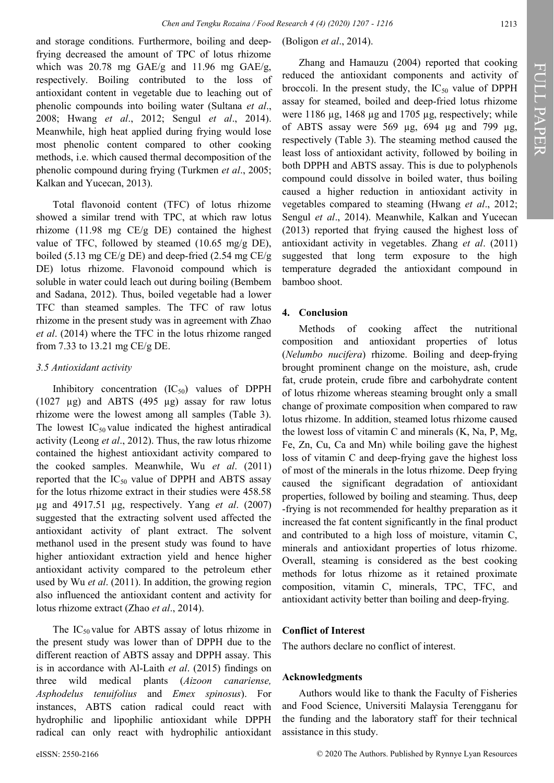and storage conditions. Furthermore, boiling and deepfrying decreased the amount of TPC of lotus rhizome which was 20.78 mg GAE/g and 11.96 mg GAE/g, respectively. Boiling contributed to the loss of antioxidant content in vegetable due to leaching out of phenolic compounds into boiling water (Sultana *et al*., 2008; Hwang *et al*., 2012; Sengul *et al*., 2014). Meanwhile, high heat applied during frying would lose most phenolic content compared to other cooking methods, i.e. which caused thermal decomposition of the phenolic compound during frying (Turkmen *et al*., 2005; Kalkan and Yucecan, 2013).

Total flavonoid content (TFC) of lotus rhizome showed a similar trend with TPC, at which raw lotus rhizome (11.98 mg CE/g DE) contained the highest value of TFC, followed by steamed (10.65 mg/g DE), boiled (5.13 mg CE/g DE) and deep-fried (2.54 mg CE/g DE) lotus rhizome. Flavonoid compound which is soluble in water could leach out during boiling (Bembem and Sadana, 2012). Thus, boiled vegetable had a lower TFC than steamed samples. The TFC of raw lotus rhizome in the present study was in agreement with Zhao *et al*. (2014) where the TFC in the lotus rhizome ranged from 7.33 to 13.21 mg CE/g DE.

### *3.5 Antioxidant activity*

Inhibitory concentration  $(IC_{50})$  values of DPPH (1027  $\mu$ g) and ABTS (495  $\mu$ g) assay for raw lotus rhizome were the lowest among all samples (Table 3). The lowest  $IC_{50}$  value indicated the highest antiradical activity (Leong *et al*., 2012). Thus, the raw lotus rhizome contained the highest antioxidant activity compared to the cooked samples. Meanwhile, Wu *et al*. (2011) reported that the  $IC_{50}$  value of DPPH and ABTS assay for the lotus rhizome extract in their studies were 458.58 µg and 4917.51 µg, respectively. Yang *et al*. (2007) suggested that the extracting solvent used affected the antioxidant activity of plant extract. The solvent methanol used in the present study was found to have higher antioxidant extraction yield and hence higher antioxidant activity compared to the petroleum ether used by Wu *et al*. (2011). In addition, the growing region also influenced the antioxidant content and activity for lotus rhizome extract (Zhao *et al*., 2014).

The  $IC_{50}$  value for ABTS assay of lotus rhizome in the present study was lower than of DPPH due to the different reaction of ABTS assay and DPPH assay. This is in accordance with Al-Laith *et al*. (2015) findings on three wild medical plants (*Aizoon canariense, Asphodelus tenuifolius* and *Emex spinosus*). For instances, ABTS cation radical could react with hydrophilic and lipophilic antioxidant while DPPH radical can only react with hydrophilic antioxidant

### (Boligon *et al*., 2014).

Zhang and Hamauzu (2004) reported that cooking reduced the antioxidant components and activity of broccoli. In the present study, the  $IC_{50}$  value of DPPH assay for steamed, boiled and deep-fried lotus rhizome were  $1186 \mu g$ ,  $1468 \mu g$  and  $1705 \mu g$ , respectively; while of ABTS assay were 569  $\mu$ g, 694  $\mu$ g and 799  $\mu$ g, respectively (Table 3). The steaming method caused the least loss of antioxidant activity, followed by boiling in both DPPH and ABTS assay. This is due to polyphenols compound could dissolve in boiled water, thus boiling caused a higher reduction in antioxidant activity in vegetables compared to steaming (Hwang *et al*., 2012; Sengul *et al*., 2014). Meanwhile, Kalkan and Yucecan (2013) reported that frying caused the highest loss of antioxidant activity in vegetables. Zhang *et al*. (2011) suggested that long term exposure to the high temperature degraded the antioxidant compound in bamboo shoot.

### **4. Conclusion**

Methods of cooking affect the nutritional composition and antioxidant properties of lotus (*Nelumbo nucifera*) rhizome. Boiling and deep-frying brought prominent change on the moisture, ash, crude fat, crude protein, crude fibre and carbohydrate content of lotus rhizome whereas steaming brought only a small change of proximate composition when compared to raw lotus rhizome. In addition, steamed lotus rhizome caused the lowest loss of vitamin C and minerals (K, Na, P, Mg, Fe, Zn, Cu, Ca and Mn) while boiling gave the highest loss of vitamin C and deep-frying gave the highest loss of most of the minerals in the lotus rhizome. Deep frying caused the significant degradation of antioxidant properties, followed by boiling and steaming. Thus, deep -frying is not recommended for healthy preparation as it increased the fat content significantly in the final product and contributed to a high loss of moisture, vitamin C, minerals and antioxidant properties of lotus rhizome. Overall, steaming is considered as the best cooking methods for lotus rhizome as it retained proximate composition, vitamin C, minerals, TPC, TFC, and antioxidant activity better than boiling and deep-frying.

#### **Conflict of Interest**

The authors declare no conflict of interest.

#### **Acknowledgments**

Authors would like to thank the Faculty of Fisheries and Food Science, Universiti Malaysia Terengganu for the funding and the laboratory staff for their technical assistance in this study.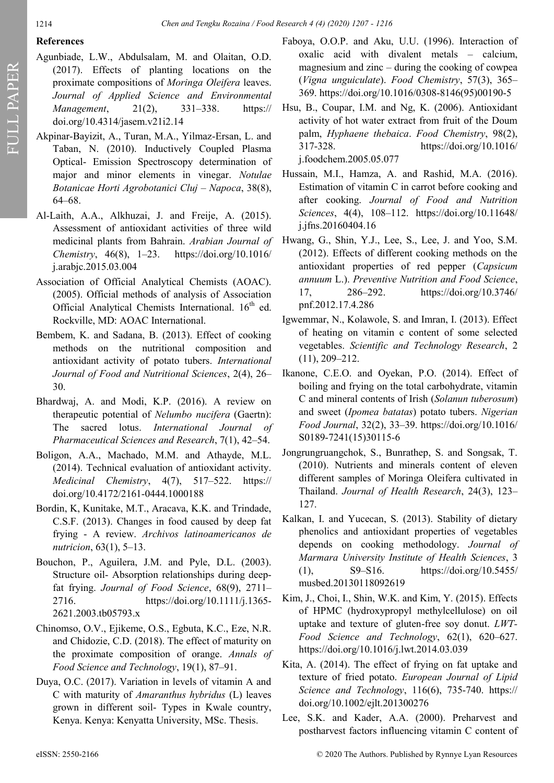# **References**

- Agunbiade, L.W., Abdulsalam, M. and Olaitan, O.D. (2017). Effects of planting locations on the proximate compositions of *Moringa Oleifera* leaves. *Journal of Applied Science and Environmental Management*, 21(2), 331–338. [https://](https://doi.org/10.4314/jasem.v21i2.14) [doi.org/10.4314/jasem.v21i2.14](https://doi.org/10.4314/jasem.v21i2.14)
- Akpinar-Bayizit, A., Turan, M.A., Yilmaz-Ersan, L. and Taban, N. (2010). Inductively Coupled Plasma Optical- Emission Spectroscopy determination of major and minor elements in vinegar. *Notulae Botanicae Horti Agrobotanici Cluj – Napoca*, 38(8), 64–68.
- Al-Laith, A.A., Alkhuzai, J. and Freije, A. (2015). Assessment of antioxidant activities of three wild medicinal plants from Bahrain. *Arabian Journal of Chemistry*, 46(8), 1–23. [https://doi.org/10.1016/](https://doi.org/10.1016/j.arabjc.2015.03.004) [j.arabjc.2015.03.004](https://doi.org/10.1016/j.arabjc.2015.03.004)
- Association of Official Analytical Chemists (AOAC). (2005). Official methods of analysis of Association Official Analytical Chemists International. 16<sup>th</sup> ed. Rockville, MD: AOAC International.
- Bembem, K. and Sadana, B. (2013). Effect of cooking methods on the nutritional composition and antioxidant activity of potato tubers. *International Journal of Food and Nutritional Sciences*, 2(4), 26– 30.
- Bhardwaj, A. and Modi, K.P. (2016). A review on therapeutic potential of *Nelumbo nucifera* (Gaertn): The sacred lotus. *International Journal of Pharmaceutical Sciences and Research*, 7(1), 42–54.
- Boligon, A.A., Machado, M.M. and Athayde, M.L. (2014). Technical evaluation of antioxidant activity. *Medicinal Chemistry*, 4(7), 517–522. [https://](https://doi.org/10.4172/2161-0444.1000188) [doi.org/10.4172/2161](https://doi.org/10.4172/2161-0444.1000188)-0444.1000188
- Bordin, K, Kunitake, M.T., Aracava, K.K. and Trindade, C.S.F. (2013). Changes in food caused by deep fat frying - A review. *Archivos latinoamericanos de nutricion*, 63(1), 5–13.
- Bouchon, P., Aguilera, J.M. and Pyle, D.L. (2003). Structure oil- Absorption relationships during deepfat frying. *Journal of Food Science*, 68(9), 2711– 2716. [https://doi.org/10.1111/j.1365](https://doi.org/10.1111/j.1365-2621.2003.tb05793.x)- [2621.2003.tb05793.x](https://doi.org/10.1111/j.1365-2621.2003.tb05793.x)
- Chinomso, O.V., Ejikeme, O.S., Egbuta, K.C., Eze, N.R. and Chidozie, C.D. (2018). The effect of maturity on the proximate composition of orange. *Annals of Food Science and Technology*, 19(1), 87–91.
- Duya, O.C. (2017). Variation in levels of vitamin A and C with maturity of *Amaranthus hybridus* (L) leaves grown in different soil- Types in Kwale country, Kenya. Kenya: Kenyatta University, MSc. Thesis.
- Faboya, O.O.P. and Aku, U.U. (1996). Interaction of oxalic acid with divalent metals – calcium, magnesium and zinc – during the cooking of cowpea (*Vigna unguiculate*). *Food Chemistry*, 57(3), 365– 369. [https://doi.org/10.1016/0308](https://doi.org/10.1016/0308-8146(95)00190-5)-8146(95)00190-5
- Hsu, B., Coupar, I.M. and Ng, K. (2006). Antioxidant activity of hot water extract from fruit of the Doum palm, *Hyphaene thebaica*. *Food Chemistry*, 98(2), 317-328. [https://doi.org/10.1016/](https://doi.org/10.1016/j.foodchem.2005.05.077) [j.foodchem.2005.05.077](https://doi.org/10.1016/j.foodchem.2005.05.077)
- Hussain, M.I., Hamza, A. and Rashid, M.A. (2016). Estimation of vitamin C in carrot before cooking and after cooking. *Journal of Food and Nutrition Sciences*, 4(4), 108–112. [https://doi.org/10.11648/](https://doi.org/10.11648/j.jfns.20160404.16) [j.jfns.20160404.16](https://doi.org/10.11648/j.jfns.20160404.16)
- Hwang, G., Shin, Y.J., Lee, S., Lee, J. and Yoo, S.M. (2012). Effects of different cooking methods on the antioxidant properties of red pepper (*Capsicum annuum* L.). *Preventive Nutrition and Food Science*, 17, 286–292. [https://doi.org/10.3746/](https://doi.org/10.3746/pnf.2012.17.4.286) [pnf.2012.17.4.286](https://doi.org/10.3746/pnf.2012.17.4.286)
- Igwemmar, N., Kolawole, S. and Imran, I. (2013). Effect of heating on vitamin c content of some selected vegetables. *Scientific and Technology Research*, 2 (11), 209–212.
- Ikanone, C.E.O. and Oyekan, P.O. (2014). Effect of boiling and frying on the total carbohydrate, vitamin C and mineral contents of Irish (*Solanun tuberosum*) and sweet (*Ipomea batatas*) potato tubers. *Nigerian Food Journal*, 32(2), 33–39. [https://doi.org/10.1016/](https://doi.org/10.1016/S0189-7241(15)30115-6) S0189-[7241\(15\)30115](https://doi.org/10.1016/S0189-7241(15)30115-6)-6
- Jongrungruangchok, S., Bunrathep, S. and Songsak, T. (2010). Nutrients and minerals content of eleven different samples of Moringa Oleifera cultivated in Thailand. *Journal of Health Research*, 24(3), 123– 127.
- Kalkan, I. and Yucecan, S. (2013). Stability of dietary phenolics and antioxidant properties of vegetables depends on cooking methodology. *Journal of Marmara University Institute of Health Sciences*, 3 (1), S9–S16. [https://doi.org/10.5455/](https://doi.org/10.5455/musbed.20130118092619) [musbed.20130118092619](https://doi.org/10.5455/musbed.20130118092619)
- Kim, J., Choi, I., Shin, W.K. and Kim, Y. (2015). Effects of HPMC (hydroxypropyl methylcellulose) on oil uptake and texture of gluten-free soy donut. *LWT-Food Science and Technology*, 62(1), 620–627. <https://doi.org/10.1016/j.lwt.2014.03.039>
- Kita, A. (2014). The effect of frying on fat uptake and texture of fried potato. *European Journal of Lipid Science and Technology*, 116(6), 735-740. https:// [doi.org/10.1002/ejlt.201300276](https://doi.org/10.1002/ejlt.201300276)
- Lee, S.K. and Kader, A.A. (2000). Preharvest and postharvest factors influencing vitamin C content of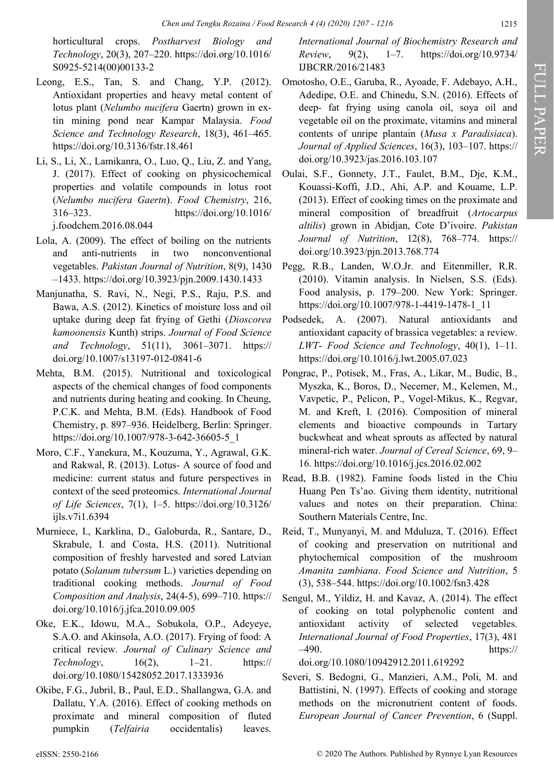horticultural crops. *Postharvest Biology and Technology*, 20(3), 207–220. [https://doi.org/10.1016/](https://doi.org/10.1016/S0925-5214(00)00133-2) S0925-[5214\(00\)00133](https://doi.org/10.1016/S0925-5214(00)00133-2)-2

- Leong, E.S., Tan, S. and Chang, Y.P. (2012). Antioxidant properties and heavy metal content of lotus plant (*Nelumbo nucifera* Gaertn) grown in extin mining pond near Kampar Malaysia. *Food Science and Technology Research*, 18(3), 461–465. <https://doi.org/10.3136/fstr.18.461>
- Li, S., Li, X., Lamikanra, O., Luo, Q., Liu, Z. and Yang, J. (2017). Effect of cooking on physicochemical properties and volatile compounds in lotus root (*Nelumbo nucifera Gaertn*). *Food Chemistry*, 216, 316–323. [https://doi.org/10.1016/](https://doi.org/10.1016/j.foodchem.2016.08.044) [j.foodchem.2016.08.044](https://doi.org/10.1016/j.foodchem.2016.08.044)
- Lola, A. (2009). The effect of boiling on the nutrients and anti-nutrients in two nonconventional vegetables. *Pakistan Journal of Nutrition*, 8(9), 1430 –1433. <https://doi.org/10.3923/pjn.2009.1430.1433>
- Manjunatha, S. Ravi, N., Negi, P.S., Raju, P.S. and Bawa, A.S. (2012). Kinetics of moisture loss and oil uptake during deep fat frying of Gethi (*Dioscorea kamoonensis* Kunth) strips. *Journal of Food Science and Technology*, 51(11), 3061–3071. [https://](https://doi.org/10.1007/s13197-012-0841-6) [doi.org/10.1007/s13197](https://doi.org/10.1007/s13197-012-0841-6)-012-0841-6
- Mehta, B.M. (2015). Nutritional and toxicological aspects of the chemical changes of food components and nutrients during heating and cooking. In Cheung, P.C.K. and Mehta, B.M. (Eds). Handbook of Food Chemistry, p. 897–936. Heidelberg, Berlin: Springer. [https://doi.org/10.1007/978](https://doi.org/10.1007/978-3-642-36605-5_1)-3-642-36605-5\_1
- Moro, C.F., Yanekura, M., Kouzuma, Y., Agrawal, G.K. and Rakwal, R. (2013). Lotus- A source of food and medicine: current status and future perspectives in context of the seed proteomics. *International Journal of Life Sciences*, 7(1), 1–5. [https://doi.org/10.3126/](https://doi.org/10.3126/ijls.v7i1.6394) [ijls.v7i1.6394](https://doi.org/10.3126/ijls.v7i1.6394)
- Murniece, I., Karklina, D., Galoburda, R., Santare, D., Skrabule, I. and Costa, H.S. (2011). Nutritional composition of freshly harvested and sored Latvian potato (*Solanum tubersum* L.) varieties depending on traditional cooking methods. *Journal of Food Composition and Analysis*, 24(4-5), 699–710. [https://](https://doi.org/10.1016/j.jfca.2010.09.005) [doi.org/10.1016/j.jfca.2010.09.005](https://doi.org/10.1016/j.jfca.2010.09.005)
- Oke, E.K., Idowu, M.A., Sobukola, O.P., Adeyeye, S.A.O. and Akinsola, A.O. (2017). Frying of food: A critical review. *Journal of Culinary Science and Technology*, 16(2), 1–21. [https://](https://doi.org/10.1080/15428052.2017.1333936) [doi.org/10.1080/15428052.2017.1333936](https://doi.org/10.1080/15428052.2017.1333936)
- Okibe, F.G., Jubril, B., Paul, E.D., Shallangwa, G.A. and Dallatu, Y.A. (2016). Effect of cooking methods on proximate and mineral composition of fluted pumpkin (*Telfairia* occidentalis) leaves.

*International Journal of Biochemistry Research and Review*, 9(2), 1–7. [https://doi.org/10.9734/](https://doi.org/10.9734/IJBCRR/2016/21483) [IJBCRR/2016/21483](https://doi.org/10.9734/IJBCRR/2016/21483)

- Omotosho, O.E., Garuba, R., Ayoade, F. Adebayo, A.H., Adedipe, O.E. and Chinedu, S.N. (2016). Effects of deep- fat frying using canola oil, soya oil and vegetable oil on the proximate, vitamins and mineral contents of unripe plantain (*Musa x Paradisiaca*). *Journal of Applied Sciences*, 16(3), 103–107. [https://](https://doi.org/10.3923/jas.2016.103.107) [doi.org/10.3923/jas.2016.103.107](https://doi.org/10.3923/jas.2016.103.107)
- Oulai, S.F., Gonnety, J.T., Faulet, B.M., Dje, K.M., Kouassi-Koffi, J.D., Ahi, A.P. and Kouame, L.P. (2013). Effect of cooking times on the proximate and mineral composition of breadfruit (*Artocarpus altilis*) grown in Abidjan, Cote D'ivoire. *Pakistan Journal of Nutrition*, 12(8), 768–774. [https://](https://doi.org/10.3923/pjn.2013.768.774) [doi.org/10.3923/pjn.2013.768.774](https://doi.org/10.3923/pjn.2013.768.774)
- Pegg, R.B., Landen, W.O.Jr. and Eitenmiller, R.R. (2010). Vitamin analysis. In Nielsen, S.S. (Eds). Food analysis, p. 179–200. New York: Springer. [https://doi.org/10.1007/978](https://doi.org/10.1007/978-1-4419-1478-1_11)-1-4419-1478-1\_11
- Podsedek, A. (2007). Natural antioxidants and antioxidant capacity of brassica vegetables: a review. *LWT- Food Science and Technology*, 40(1), 1–11. <https://doi.org/10.1016/j.lwt.2005.07.023>
- Pongrac, P., Potisek, M., Fras, A., Likar, M., Budic, B., Myszka, K., Boros, D., Necemer, M., Kelemen, M., Vavpetic, P., Pelicon, P., Vogel-Mikus, K., Regvar, M. and Kreft, I. (2016). Composition of mineral elements and bioactive compounds in Tartary buckwheat and wheat sprouts as affected by natural mineral-rich water. *Journal of Cereal Science*, 69, 9– 16. <https://doi.org/10.1016/j.jcs.2016.02.002>
- Read, B.B. (1982). Famine foods listed in the Chiu Huang Pen Ts'ao. Giving them identity, nutritional values and notes on their preparation. China: Southern Materials Centre, Inc.
- Reid, T., Munyanyi, M. and Mduluza, T. (2016). Effect of cooking and preservation on nutritional and phytochemical composition of the mushroom *Amanita zambiana*. *Food Science and Nutrition*, 5 (3), 538–544. <https://doi.org/10.1002/fsn3.428>
- Sengul, M., Yildiz, H. and Kavaz, A. (2014). The effect of cooking on total polyphenolic content and antioxidant activity of selected vegetables. *International Journal of Food Properties*, 17(3), 481  $-490.$  [https://](https://doi.org/10.1080/10942912.2011.619292) [doi.org/10.1080/10942912.2011.619292](https://doi.org/10.1080/10942912.2011.619292)

Severi, S. Bedogni, G., Manzieri, A.M., Poli, M. and Battistini, N. (1997). Effects of cooking and storage methods on the micronutrient content of foods. *European Journal of Cancer Prevention*, 6 (Suppl.

1215